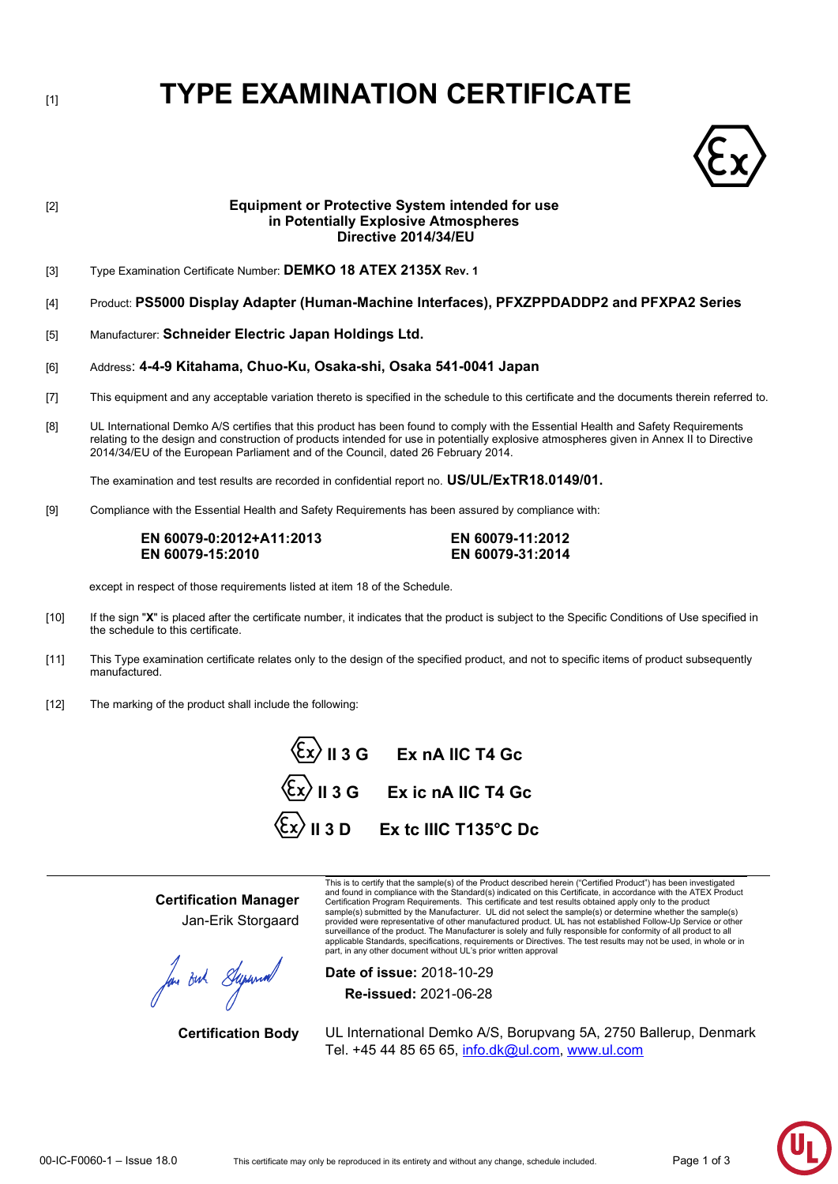# [1] **TYPE EXAMINATION CERTIFICATE**



# [2] **Equipment or Protective System intended for use in Potentially Explosive Atmospheres Directive 2014/34/EU** [3] Type Examination Certificate Number: **DEMKO 18 ATEX 2135X Rev. 1** [4] Product: **PS5000 Display Adapter (Human-Machine Interfaces), PFXZPPDADDP2 and PFXPA2 Series** [5] Manufacturer: **Schneider Electric Japan Holdings Ltd.** [6] Address: **4-4-9 Kitahama, Chuo-Ku, Osaka-shi, Osaka 541-0041 Japan** [7] This equipment and any acceptable variation thereto is specified in the schedule to this certificate and the documents therein referred to. [8] UL International Demko A/S certifies that this product has been found to comply with the Essential Health and Safety Requirements relating to the design and construction of products intended for use in potentially explosive atmospheres given in Annex II to Directive 2014/34/EU of the European Parliament and of the Council, dated 26 February 2014. The examination and test results are recorded in confidential report no. **US/UL/ExTR18.0149/01.** [9] Compliance with the Essential Health and Safety Requirements has been assured by compliance with: **EN 60079-0:2012+A11:2013 EN 60079-11:2012 EN 60079-15:2010 EN 60079-31:2014** except in respect of those requirements listed at item 18 of the Schedule. [10] If the sign "**X**" is placed after the certificate number, it indicates that the product is subject to the Specific Conditions of Use specified in

- the schedule to this certificate.
- [11] This Type examination certificate relates only to the design of the specified product, and not to specific items of product subsequently manufactured.
- [12] The marking of the product shall include the following:

**II 3 G Ex nA IIC T4 Gc II 3 G Ex ic nA IIC T4 Gc II 3 D Ex tc IIIC T135°C Dc**

**Certification Manager** Jan-Erik Storgaard

for out Superior

This is to certify that the sample(s) of the Product described herein ("Certified Product") has been investigated<br>and found in compliance with the Standard(s) indicated on this Certificate, in accordance with the ATEX Prod Certification Program Requirements. This certificate and test results obtained apply only to the product sample(s) submitted by the Manufacturer. UL did not select the sample(s) or determine whether the sample(s) provided were representative of other manufactured product. UL has not established Follow-Up Service or other<br>surveillance of the product. The Manufacturer is solely and fully responsible for conformity of all product to a applicable Standards, specifications, requirements or Directives. The test results may not be used, in whole or in part, in any other document without UL's prior written approval

**Date of issue:** 2018-10-29 **Re-issued:** 2021-06-28

**Certification Body** UL International Demko A/S, Borupvang 5A, 2750 Ballerup, Denmark Tel. +45 44 85 65 65, info.dk@ul.com, [www.ul.com](http://www.ul.com/)

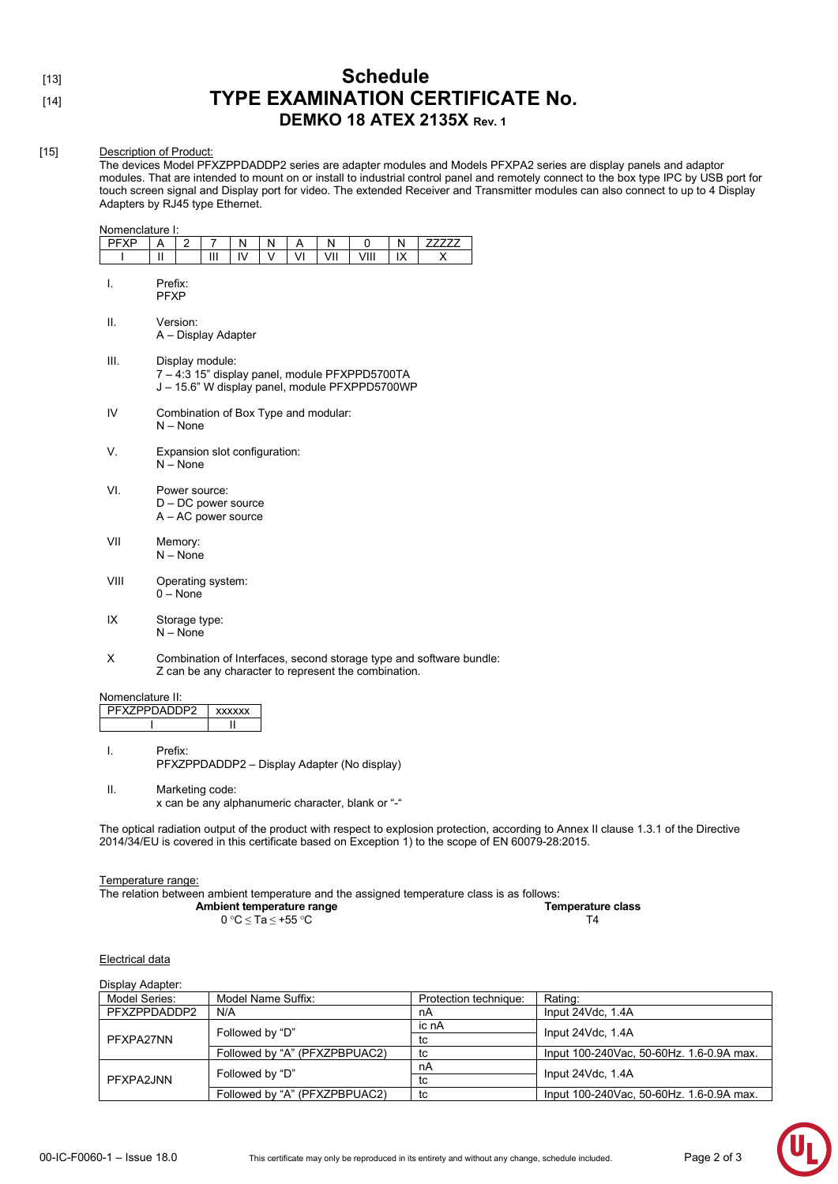## [13] **Schedule** [14] **TYPE EXAMINATION CERTIFICATE No. DEMKO 18 ATEX 2135X Rev. 1**

#### [15] Description of Product:

The devices Model PFXZPPDADDP2 series are adapter modules and Models PFXPA2 series are display panels and adaptor modules. That are intended to mount on or install to industrial control panel and remotely connect to the box type IPC by USB port for touch screen signal and Display port for video. The extended Receiver and Transmitter modules can also connect to up to 4 Display Adapters by RJ45 type Ethernet.

| Nomenclature I: |                                                                                                                     |                                                    |   |    |        |    |     |                                                      |    |                                                                     |  |
|-----------------|---------------------------------------------------------------------------------------------------------------------|----------------------------------------------------|---|----|--------|----|-----|------------------------------------------------------|----|---------------------------------------------------------------------|--|
| <b>PFXP</b>     | A                                                                                                                   | 2                                                  | 7 | N  | N      | Α  | Ν   | 0                                                    | N  | ZZZZZZ                                                              |  |
| ı               | $\mathbf{I}$                                                                                                        |                                                    | Ш | IV | $\vee$ | VI | VII | VIII                                                 | IX | X                                                                   |  |
| I.              | Prefix:<br><b>PFXP</b>                                                                                              |                                                    |   |    |        |    |     |                                                      |    |                                                                     |  |
| Π.              |                                                                                                                     | Version:<br>A - Display Adapter                    |   |    |        |    |     |                                                      |    |                                                                     |  |
| III.            | Display module:<br>7 - 4:3 15" display panel, module PFXPPD5700TA<br>J - 15.6" W display panel, module PFXPPD5700WP |                                                    |   |    |        |    |     |                                                      |    |                                                                     |  |
| IV              |                                                                                                                     | Combination of Box Type and modular:<br>$N - None$ |   |    |        |    |     |                                                      |    |                                                                     |  |
| V.              |                                                                                                                     | Expansion slot configuration:<br>$N - None$        |   |    |        |    |     |                                                      |    |                                                                     |  |
| VI.             | Power source:<br>$D - DC$ power source<br>$A - AC$ power source                                                     |                                                    |   |    |        |    |     |                                                      |    |                                                                     |  |
| VII             | Memory:<br>$N - None$                                                                                               |                                                    |   |    |        |    |     |                                                      |    |                                                                     |  |
| VIII            | Operating system:<br>$0 - None$                                                                                     |                                                    |   |    |        |    |     |                                                      |    |                                                                     |  |
| IX              | Storage type:<br>$N - None$                                                                                         |                                                    |   |    |        |    |     |                                                      |    |                                                                     |  |
| Х               |                                                                                                                     |                                                    |   |    |        |    |     | Z can be any character to represent the combination. |    | Combination of Interfaces, second storage type and software bundle: |  |

Nomenclature II:

| PFX7PPDADDP2 | xxxxxx |
|--------------|--------|
|              |        |

I. Prefix: PFXZPPDADDP2 – Display Adapter (No display)

II. Marketing code: x can be any alphanumeric character, blank or "-"

The optical radiation output of the product with respect to explosion protection, according to Annex II clause 1.3.1 of the Directive 2014/34/EU is covered in this certificate based on Exception 1) to the scope of EN 60079-28:2015.

#### Temperature range:

The relation between ambient temperature and the assigned temperature class is as follows:

| Ambient temperature range |  | <b>Temperature class</b> |
|---------------------------|--|--------------------------|
| 0 °C < Ta < +55 °C        |  |                          |

#### Electrical data

| Display Adapter: |                               |                       |                                          |  |
|------------------|-------------------------------|-----------------------|------------------------------------------|--|
| Model Series:    | Model Name Suffix:            | Protection technique: | Rating:                                  |  |
| PFXZPPDADDP2     | N/A                           | nA                    | Input 24Vdc, 1.4A                        |  |
| PFXPA27NN        | Followed by "D"               | ic nA                 | Input 24Vdc, 1.4A                        |  |
|                  |                               | tc                    |                                          |  |
|                  | Followed by "A" (PFXZPBPUAC2) | tc                    | Input 100-240Vac, 50-60Hz, 1.6-0.9A max. |  |
| PFXPA2JNN        | Followed by "D"               | nA                    | Input 24Vdc, 1.4A                        |  |
|                  |                               | tc                    |                                          |  |
|                  | Followed by "A" (PFXZPBPUAC2) | tc                    | Input 100-240Vac, 50-60Hz, 1.6-0.9A max. |  |
|                  |                               |                       |                                          |  |